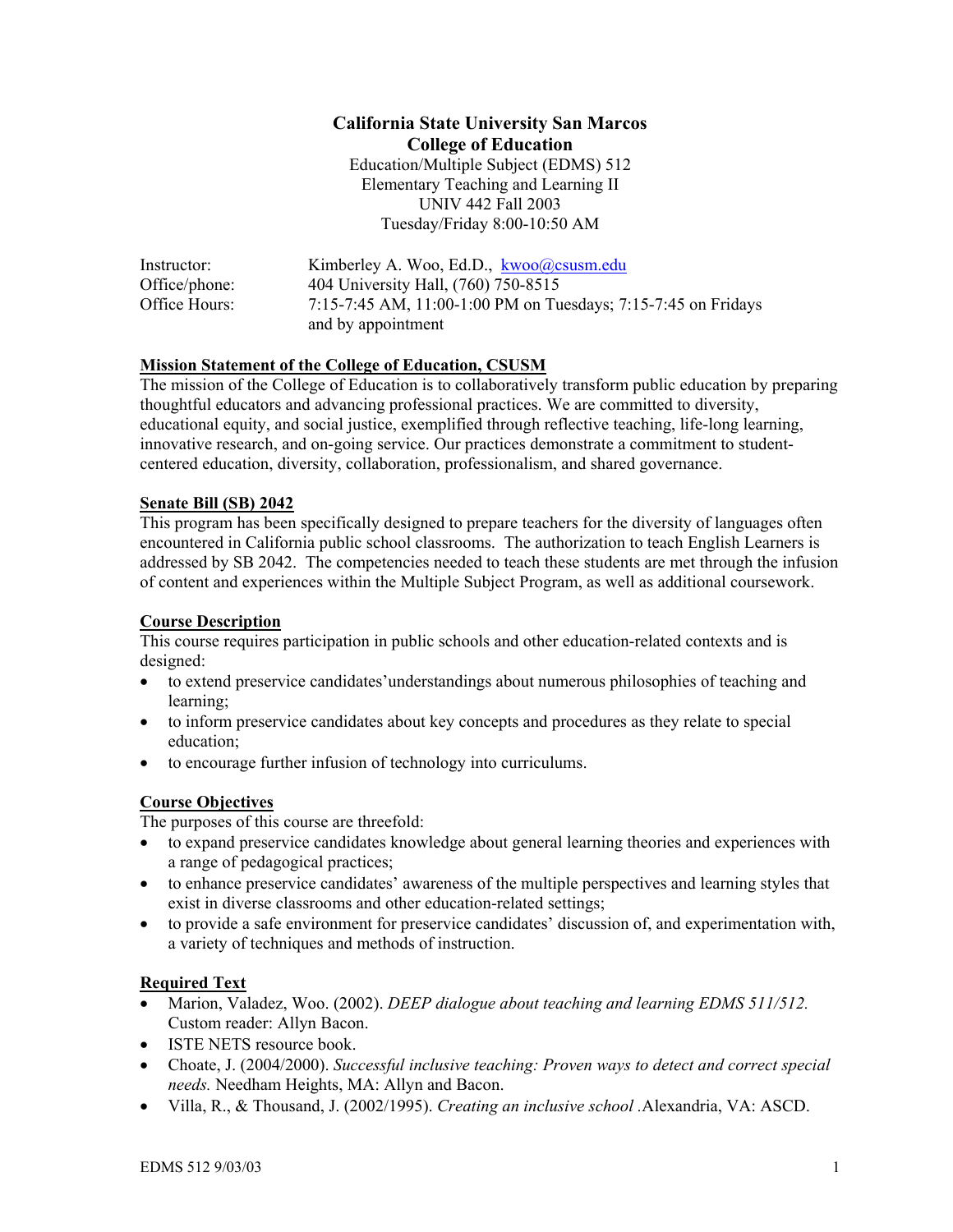# **California State University San Marcos College of Education**  Education/Multiple Subject (EDMS) 512 Elementary Teaching and Learning II UNIV 442 Fall 2003 Tuesday/Friday 8:00-10:50 AM

| Instructor:   | Kimberley A. Woo, Ed.D., kwoo@csusm.edu                       |
|---------------|---------------------------------------------------------------|
| Office/phone: | 404 University Hall, (760) 750-8515                           |
| Office Hours: | 7:15-7:45 AM, 11:00-1:00 PM on Tuesdays; 7:15-7:45 on Fridays |
|               | and by appointment                                            |

#### **Mission Statement of the College of Education, CSUSM**

The mission of the College of Education is to collaboratively transform public education by preparing thoughtful educators and advancing professional practices. We are committed to diversity, educational equity, and social justice, exemplified through reflective teaching, life-long learning, innovative research, and on-going service. Our practices demonstrate a commitment to studentcentered education, diversity, collaboration, professionalism, and shared governance.

#### **Senate Bill (SB) 2042**

This program has been specifically designed to prepare teachers for the diversity of languages often encountered in California public school classrooms. The authorization to teach English Learners is addressed by SB 2042. The competencies needed to teach these students are met through the infusion of content and experiences within the Multiple Subject Program, as well as additional coursework.

#### **Course Description**

This course requires participation in public schools and other education-related contexts and is designed:

- to extend preservice candidates' understandings about numerous philosophies of teaching and learning;
- to inform preservice candidates about key concepts and procedures as they relate to special education;
- to encourage further infusion of technology into curriculums.

#### **Course Objectives**

The purposes of this course are threefold:

- to expand preservice candidates knowledge about general learning theories and experiences with a range of pedagogical practices;
- to enhance preservice candidates' awareness of the multiple perspectives and learning styles that exist in diverse classrooms and other education-related settings;
- to provide a safe environment for preservice candidates' discussion of, and experimentation with, a variety of techniques and methods of instruction.

#### **Required Text**

- Marion, Valadez, Woo. (2002). *DEEP dialogue about teaching and learning EDMS 511/512.* Custom reader: Allyn Bacon.
- ISTE NETS resource book.
- Choate, J. (2004/2000). *Successful inclusive teaching: Proven ways to detect and correct special needs.* Needham Heights, MA: Allyn and Bacon.
- Villa, R., & Thousand, J. (2002/1995). *Creating an inclusive school .*Alexandria, VA: ASCD.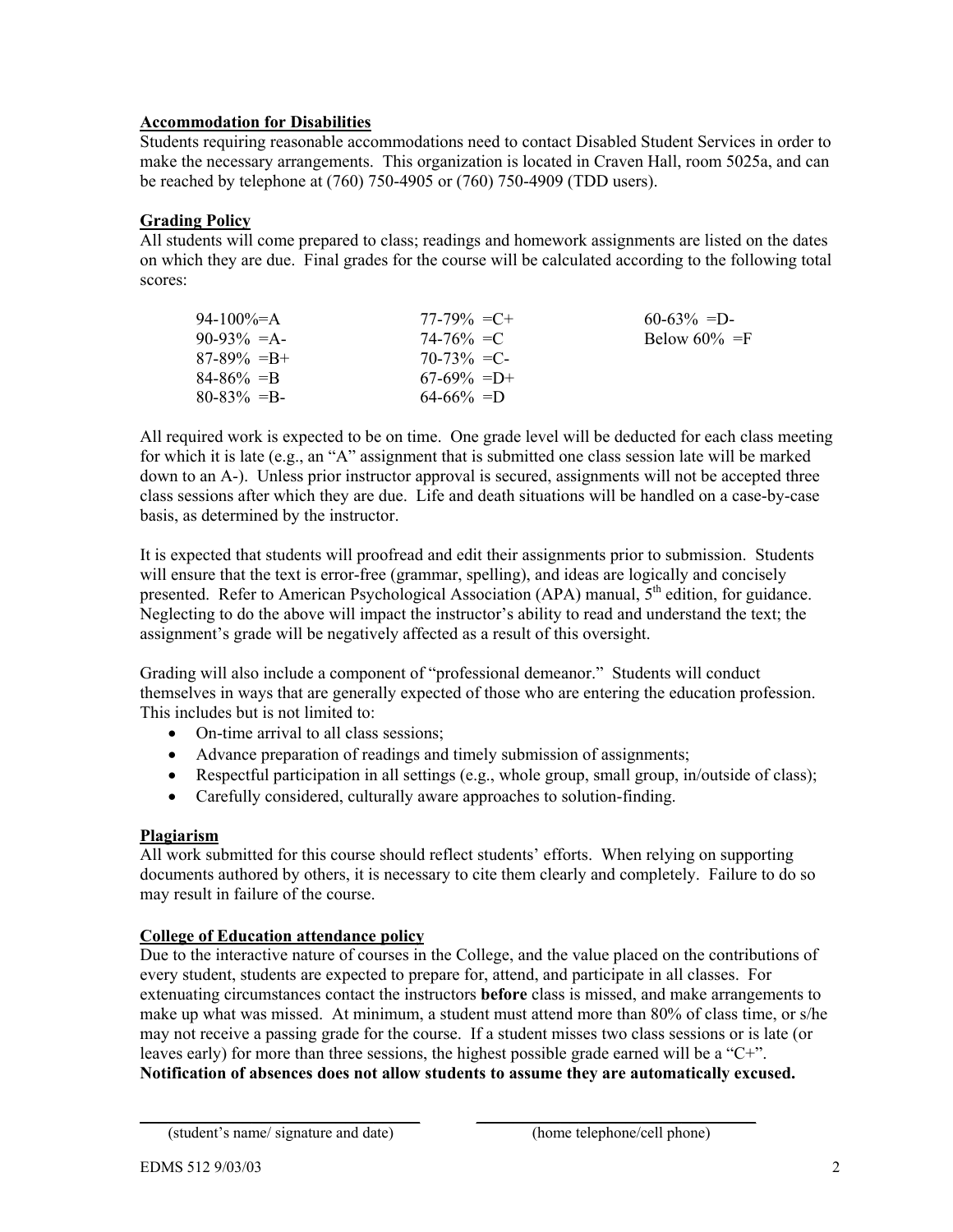# **Accommodation for Disabilities**

Students requiring reasonable accommodations need to contact Disabled Student Services in order to make the necessary arrangements. This organization is located in Craven Hall, room 5025a, and can be reached by telephone at (760) 750-4905 or (760) 750-4909 (TDD users).

#### **Grading Policy**

All students will come prepared to class; readings and homework assignments are listed on the dates on which they are due. Final grades for the course will be calculated according to the following total scores:

| $77-79\% = C +$ | $60-63\% = D$    |
|-----------------|------------------|
| $74 - 76\% = C$ | Below $60\% = F$ |
| $70-73\% = C$   |                  |
| $67-69\% = D+$  |                  |
| $64 - 66\% = D$ |                  |
|                 |                  |

All required work is expected to be on time. One grade level will be deducted for each class meeting for which it is late (e.g., an "A" assignment that is submitted one class session late will be marked down to an A-). Unless prior instructor approval is secured, assignments will not be accepted three class sessions after which they are due. Life and death situations will be handled on a case-by-case basis, as determined by the instructor.

It is expected that students will proofread and edit their assignments prior to submission. Students will ensure that the text is error-free (grammar, spelling), and ideas are logically and concisely presented. Refer to American Psychological Association (APA) manual,  $5<sup>th</sup>$  edition, for guidance. Neglecting to do the above will impact the instructor's ability to read and understand the text; the assignment's grade will be negatively affected as a result of this oversight.

Grading will also include a component of "professional demeanor." Students will conduct themselves in ways that are generally expected of those who are entering the education profession. This includes but is not limited to:

- On-time arrival to all class sessions:
- Advance preparation of readings and timely submission of assignments;
- Respectful participation in all settings (e.g., whole group, small group, in/outside of class);
- Carefully considered, culturally aware approaches to solution-finding.

#### **Plagiarism**

All work submitted for this course should reflect students' efforts. When relying on supporting documents authored by others, it is necessary to cite them clearly and completely. Failure to do so may result in failure of the course.

# **College of Education attendance policy**

Due to the interactive nature of courses in the College, and the value placed on the contributions of every student, students are expected to prepare for, attend, and participate in all classes. For extenuating circumstances contact the instructors **before** class is missed, and make arrangements to make up what was missed. At minimum, a student must attend more than 80% of class time, or s/he may not receive a passing grade for the course. If a student misses two class sessions or is late (or leaves early) for more than three sessions, the highest possible grade earned will be a "C+". **Notification of absences does not allow students to assume they are automatically excused.** 

\_\_\_\_\_\_\_\_\_\_\_\_\_\_\_\_\_\_\_\_\_\_\_\_\_\_\_\_\_\_ \_\_\_\_\_\_\_\_\_\_\_\_\_\_\_\_\_\_\_\_\_\_\_\_\_\_\_\_\_\_ (student's name/ signature and date) (home telephone/cell phone)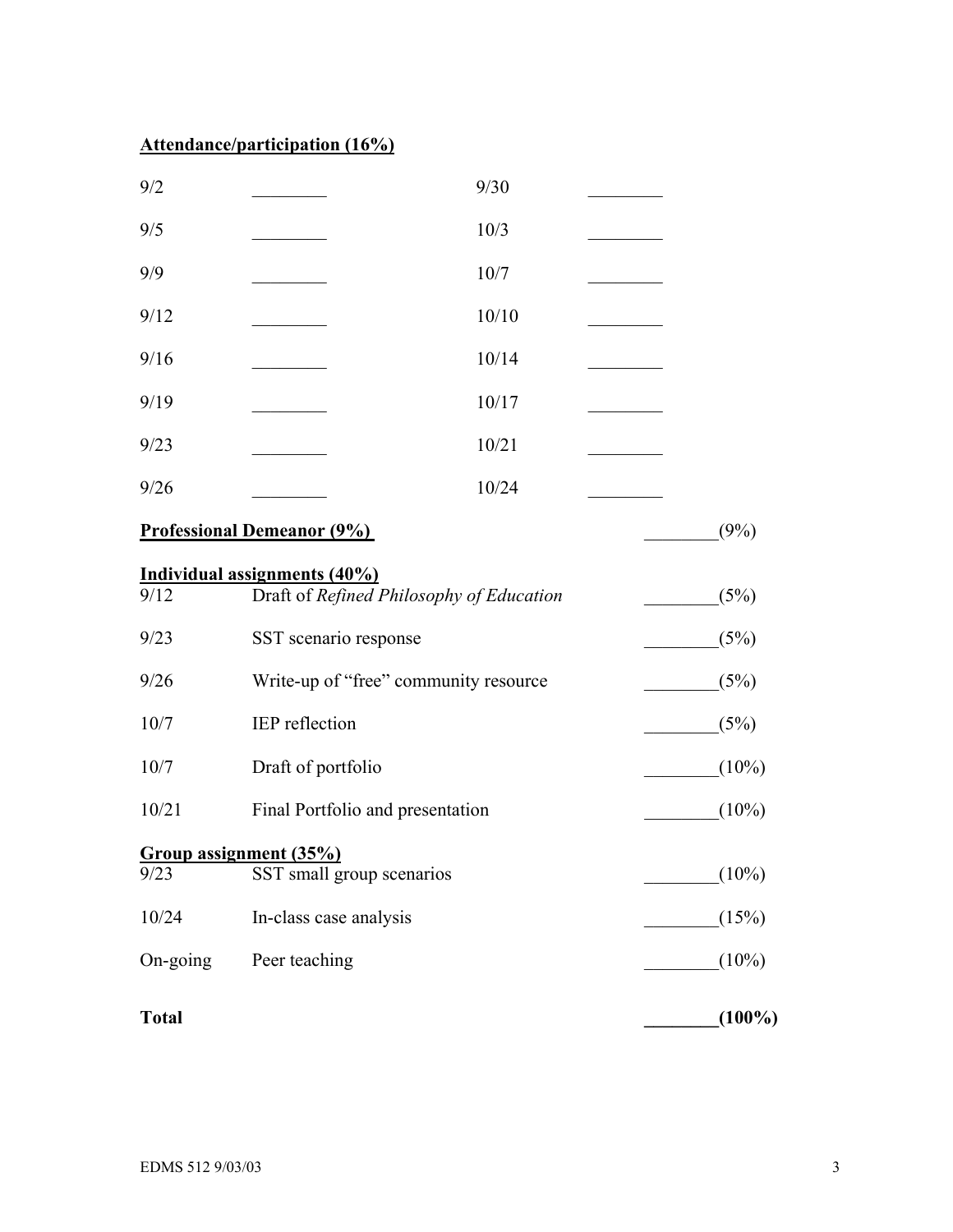# **Attendance/participation (16%)**

| 9/2          |                                          | 9/30  |  |           |
|--------------|------------------------------------------|-------|--|-----------|
| 9/5          |                                          | 10/3  |  |           |
| 9/9          |                                          | 10/7  |  |           |
| 9/12         |                                          | 10/10 |  |           |
| 9/16         |                                          | 10/14 |  |           |
| 9/19         |                                          | 10/17 |  |           |
| 9/23         |                                          | 10/21 |  |           |
| 9/26         |                                          | 10/24 |  |           |
|              | <b>Professional Demeanor (9%)</b>        |       |  | (9%)      |
|              | Individual assignments (40%)             |       |  |           |
| 9/12         | Draft of Refined Philosophy of Education |       |  | (5%)      |
| 9/23         | SST scenario response                    |       |  | (5%)      |
| 9/26         | Write-up of "free" community resource    |       |  | (5%)      |
| 10/7         | IEP reflection                           |       |  | (5%)      |
| 10/7         | Draft of portfolio                       |       |  | $(10\%)$  |
| 10/21        | Final Portfolio and presentation         |       |  | $(10\%)$  |
|              | Group assignment (35%)                   |       |  |           |
| 9/23         | SST small group scenarios                |       |  | $(10\%)$  |
| 10/24        | In-class case analysis                   |       |  | (15%)     |
| On-going     | Peer teaching                            |       |  | $(10\%)$  |
| <b>Total</b> |                                          |       |  | $(100\%)$ |
|              |                                          |       |  |           |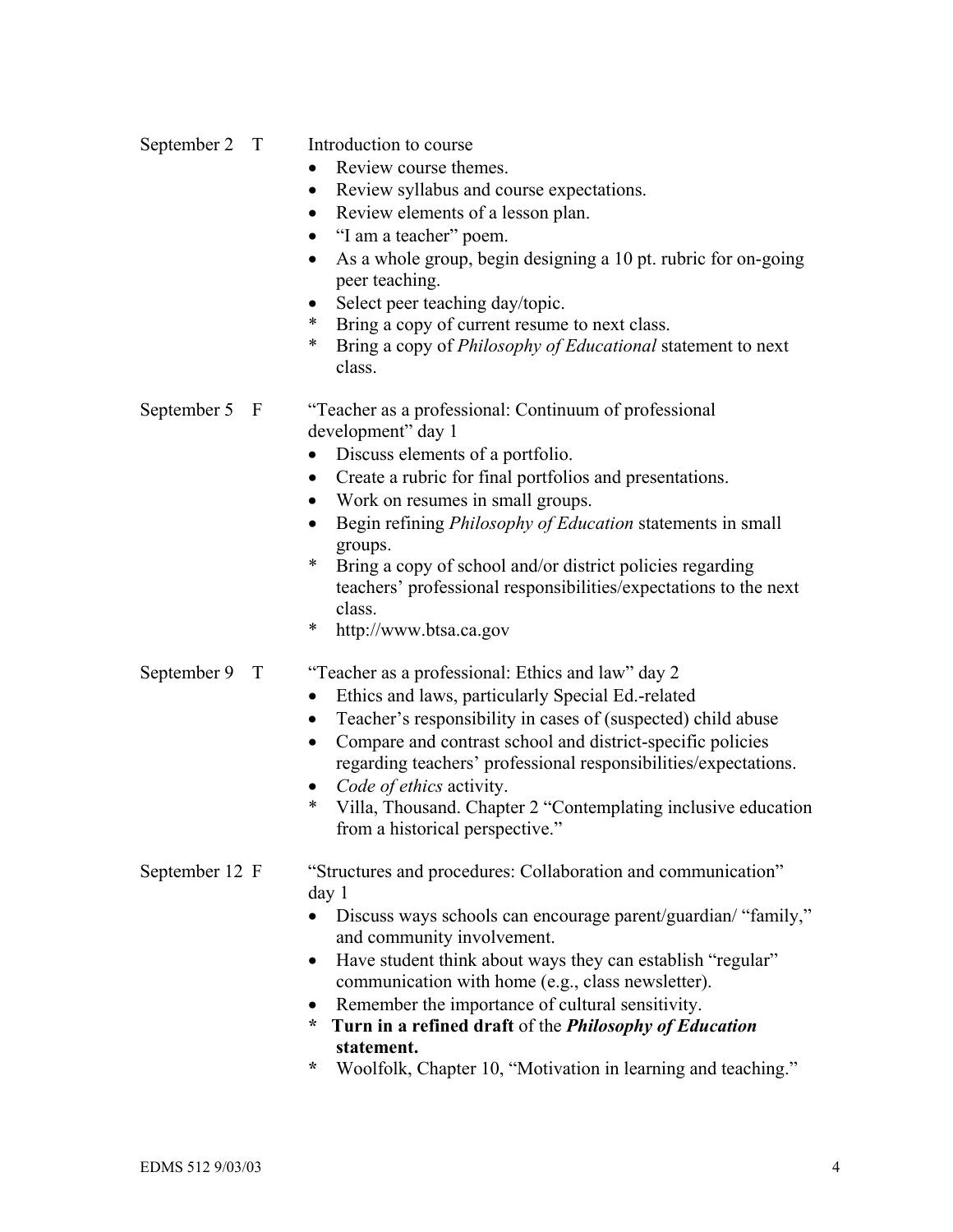| September 2 T  | Introduction to course<br>Review course themes.<br>Review syllabus and course expectations.<br>$\bullet$<br>Review elements of a lesson plan.<br>"I am a teacher" poem.<br>As a whole group, begin designing a 10 pt. rubric for on-going<br>$\bullet$<br>peer teaching.<br>Select peer teaching day/topic.<br>$\bullet$<br>*<br>Bring a copy of current resume to next class.<br>*<br>Bring a copy of <i>Philosophy of Educational</i> statement to next<br>class.                                                        |
|----------------|----------------------------------------------------------------------------------------------------------------------------------------------------------------------------------------------------------------------------------------------------------------------------------------------------------------------------------------------------------------------------------------------------------------------------------------------------------------------------------------------------------------------------|
| September 5 F  | "Teacher as a professional: Continuum of professional<br>development" day 1<br>Discuss elements of a portfolio.<br>$\bullet$<br>Create a rubric for final portfolios and presentations.<br>Work on resumes in small groups.<br>$\bullet$<br>Begin refining <i>Philosophy of Education</i> statements in small<br>$\bullet$<br>groups.<br>$\ast$<br>Bring a copy of school and/or district policies regarding<br>teachers' professional responsibilities/expectations to the next<br>class.<br>*<br>http://www.btsa.ca.gov  |
| September 9 T  | "Teacher as a professional: Ethics and law" day 2<br>Ethics and laws, particularly Special Ed.-related<br>$\bullet$<br>Teacher's responsibility in cases of (suspected) child abuse<br>Compare and contrast school and district-specific policies<br>$\bullet$<br>regarding teachers' professional responsibilities/expectations.<br>Code of ethics activity.<br>$\bullet$<br>Villa, Thousand. Chapter 2 "Contemplating inclusive education<br>∗<br>from a historical perspective."                                        |
| September 12 F | "Structures and procedures: Collaboration and communication"<br>day <sub>1</sub><br>Discuss ways schools can encourage parent/guardian/ "family,"<br>and community involvement.<br>Have student think about ways they can establish "regular"<br>٠<br>communication with home (e.g., class newsletter).<br>Remember the importance of cultural sensitivity.<br>$\bullet$<br>Turn in a refined draft of the Philosophy of Education<br>÷<br>statement.<br>Woolfolk, Chapter 10, "Motivation in learning and teaching."<br>÷ |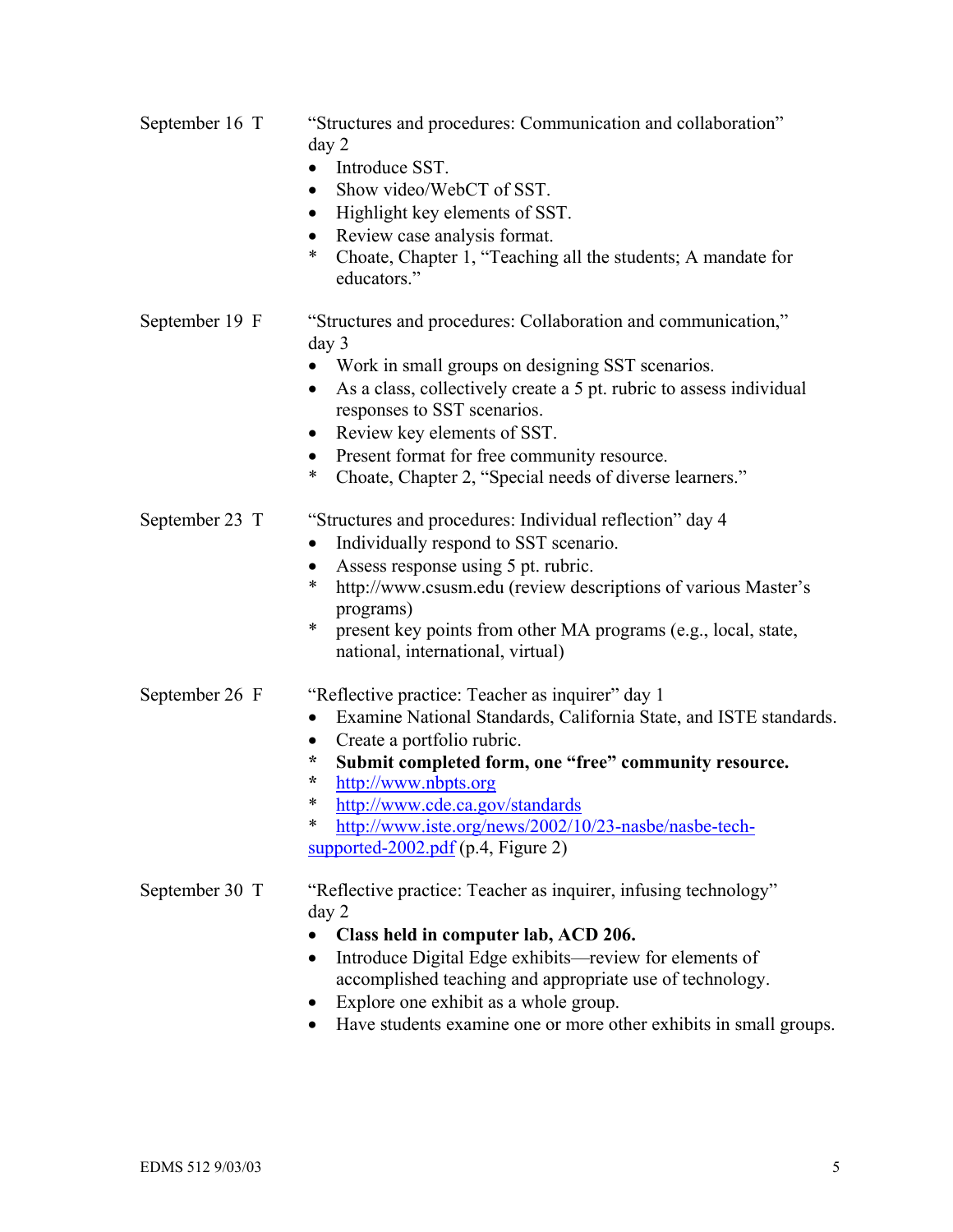- September 16 T "Structures and procedures: Communication and collaboration" day 2
	- Introduce SST.
	- Show video/WebCT of SST.
	- Highlight key elements of SST.
	- Review case analysis format.
	- Choate, Chapter 1, "Teaching all the students; A mandate for educators<sup>"</sup>
- September 19 F "Structures and procedures: Collaboration and communication," day 3
	- Work in small groups on designing SST scenarios.
	- As a class, collectively create a 5 pt. rubric to assess individual responses to SST scenarios.
	- Review key elements of SST.
	- Present format for free community resource.
	- Choate, Chapter 2, "Special needs of diverse learners."

# September 23 T "Structures and procedures: Individual reflection" day 4

- Individually respond to SST scenario.
- Assess response using 5 pt. rubric.
- \* http://www.csusm.edu (review descriptions of various Master's programs)
- \* present key points from other MA programs (e.g., local, state, national, international, virtual)

# September 26 F "Reflective practice: Teacher as inquirer" day 1

- Examine National Standards, California State, and ISTE standards.
- Create a portfolio rubric.
- **\* Submit completed form, one "free" community resource.**
- **\*** http://www.nbpts.org
- \* http://www.cde.ca.gov/standards
- \* http://www.iste.org/news/2002/10/23-nasbe/nasbe-techsupported-2002.pdf (p.4, Figure 2)

# September 30 T "Reflective practice: Teacher as inquirer, infusing technology" day 2

- **Class held in computer lab, ACD 206.**
- Introduce Digital Edge exhibits—review for elements of accomplished teaching and appropriate use of technology.
- Explore one exhibit as a whole group.
- Have students examine one or more other exhibits in small groups.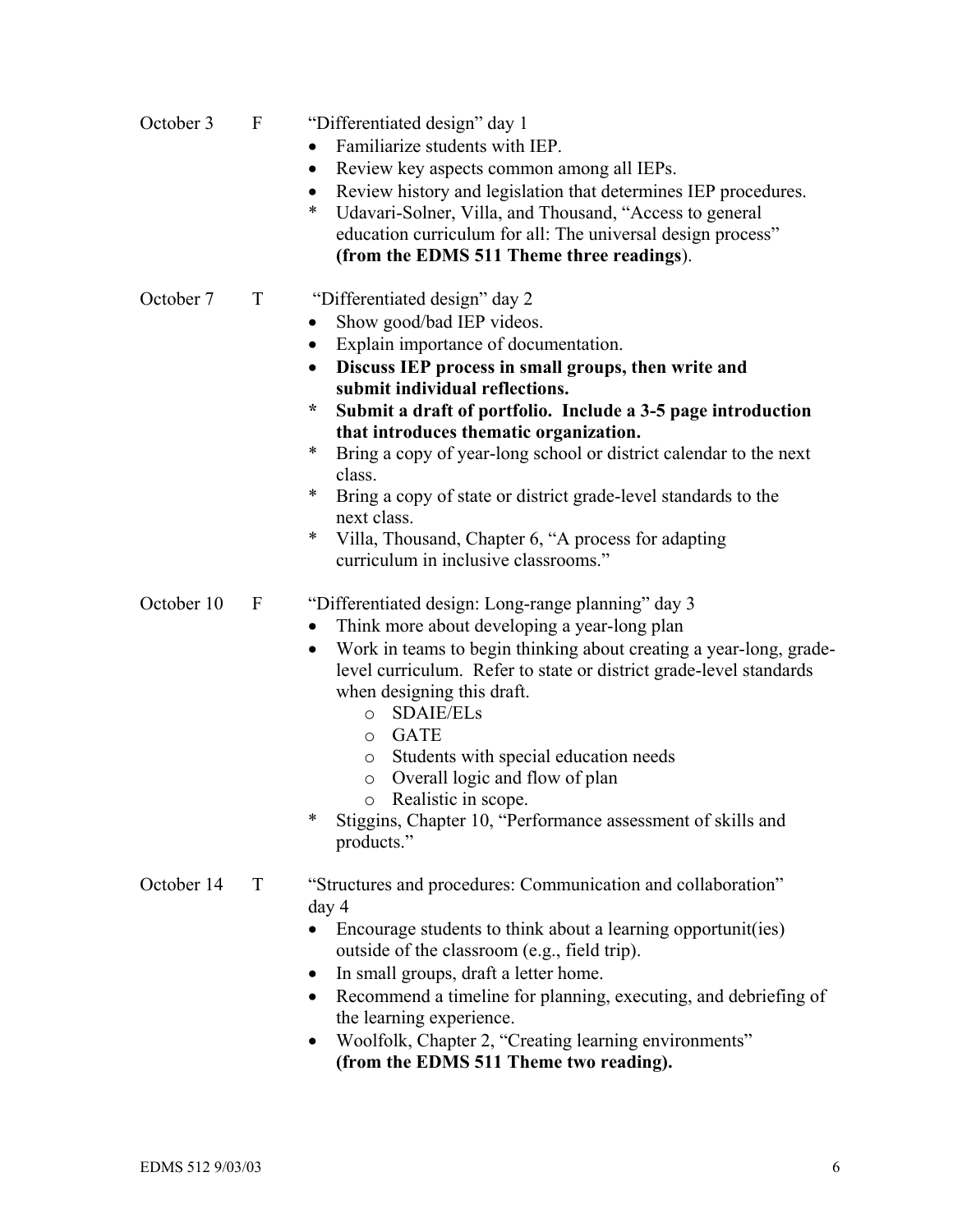| October 3  | F        | "Differentiated design" day 1<br>Familiarize students with IEP.<br>$\bullet$<br>Review key aspects common among all IEPs.<br>$\bullet$<br>Review history and legislation that determines IEP procedures.<br>$\bullet$<br>Udavari-Solner, Villa, and Thousand, "Access to general<br>∗<br>education curriculum for all: The universal design process"<br>(from the EDMS 511 Theme three readings).                                                                                                                                                                                                                               |
|------------|----------|---------------------------------------------------------------------------------------------------------------------------------------------------------------------------------------------------------------------------------------------------------------------------------------------------------------------------------------------------------------------------------------------------------------------------------------------------------------------------------------------------------------------------------------------------------------------------------------------------------------------------------|
| October 7  | T        | "Differentiated design" day 2<br>Show good/bad IEP videos.<br>$\bullet$<br>Explain importance of documentation.<br>$\bullet$<br>Discuss IEP process in small groups, then write and<br>$\bullet$<br>submit individual reflections.<br>Submit a draft of portfolio. Include a 3-5 page introduction<br>*<br>that introduces thematic organization.<br>Bring a copy of year-long school or district calendar to the next<br>∗<br>class.<br>Bring a copy of state or district grade-level standards to the<br>∗<br>next class.<br>Villa, Thousand, Chapter 6, "A process for adapting<br>∗<br>curriculum in inclusive classrooms." |
| October 10 | $\Gamma$ | "Differentiated design: Long-range planning" day 3<br>Think more about developing a year-long plan<br>$\bullet$<br>Work in teams to begin thinking about creating a year-long, grade-<br>$\bullet$<br>level curriculum. Refer to state or district grade-level standards<br>when designing this draft.<br><b>SDAIE/ELs</b><br>$\circ$<br><b>GATE</b><br>$\circ$<br>Students with special education needs<br>O<br>Overall logic and flow of plan<br>$\circ$<br>Realistic in scope.<br>$\circ$<br>*<br>Stiggins, Chapter 10, "Performance assessment of skills and<br>products."                                                  |
| October 14 | T        | "Structures and procedures: Communication and collaboration"<br>day 4<br>Encourage students to think about a learning opportunit(ies)<br>outside of the classroom (e.g., field trip).<br>In small groups, draft a letter home.<br>Recommend a timeline for planning, executing, and debriefing of<br>$\bullet$<br>the learning experience.<br>Woolfolk, Chapter 2, "Creating learning environments"                                                                                                                                                                                                                             |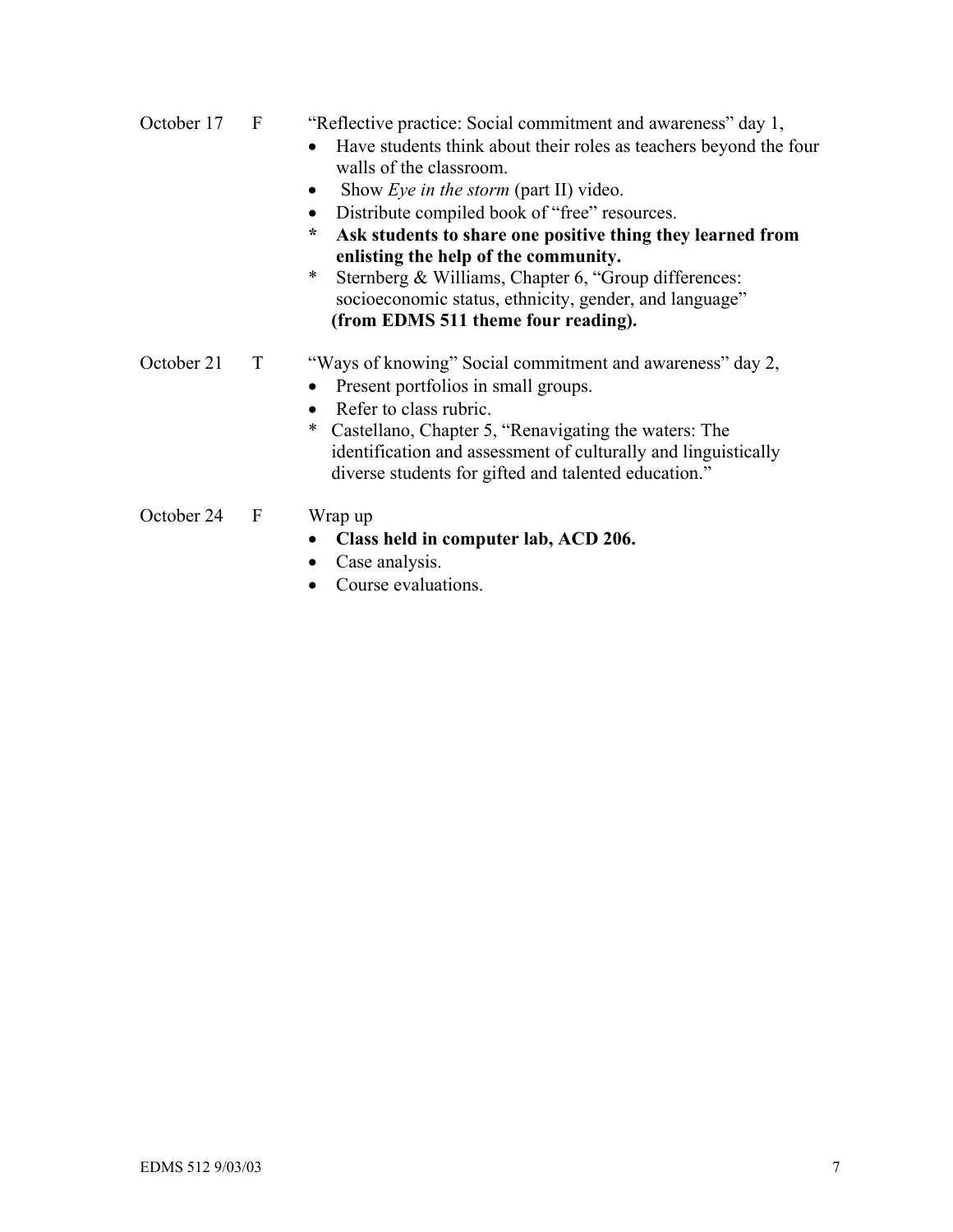- October 17 F "Reflective practice: Social commitment and awareness" day 1,
	- Have students think about their roles as teachers beyond the four walls of the classroom.
	- Show *Eye in the storm* (part II) video.
	- Distribute compiled book of "free" resources.
	- **\* Ask students to share one positive thing they learned from enlisting the help of the community.**
	- \* Sternberg & Williams, Chapter 6, "Group differences: socioeconomic status, ethnicity, gender, and language"  **(from EDMS 511 theme four reading).**

# October 21 T "Ways of knowing" Social commitment and awareness" day 2,

- Present portfolios in small groups.
- Refer to class rubric.
- \* Castellano, Chapter 5, "Renavigating the waters: The identification and assessment of culturally and linguistically diverse students for gifted and talented education."
- October 24 F Wrap up
	-
	- **Class held in computer lab, ACD 206.**
	- Case analysis.
	- Course evaluations.